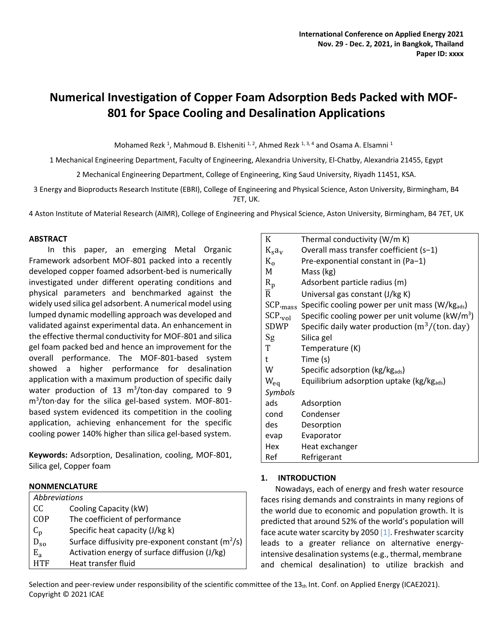# **Numerical Investigation of Copper Foam Adsorption Beds Packed with MOF-801 for Space Cooling and Desalination Applications**

Mohamed Rezk <sup>1</sup>, Mahmoud B. Elsheniti  $1, 2$ , Ahmed Rezk  $1, 3, 4$  and Osama A. Elsamni  $1$ 

1 Mechanical Engineering Department, Faculty of Engineering, Alexandria University, El-Chatby, Alexandria 21455, Egypt

2 Mechanical Engineering Department, College of Engineering, King Saud University, Riyadh 11451, KSA.

3 Energy and Bioproducts Research Institute (EBRI), College of Engineering and Physical Science, Aston University, Birmingham, B4 7ET, UK.

4 Aston Institute of Material Research (AIMR), College of Engineering and Physical Science, Aston University, Birmingham, B4 7ET, UK

# **ABSTRACT**

In this paper, an emerging Metal Organic Framework adsorbent MOF-801 packed into a recently developed copper foamed adsorbent-bed is numerically investigated under different operating conditions and physical parameters and benchmarked against the widely used silica gel adsorbent. A numerical model using lumped dynamic modelling approach was developed and validated against experimental data. An enhancement in the effective thermal conductivity for MOF-801 and silica gel foam packed bed and hence an improvement for the overall performance. The MOF-801-based system showed a higher performance for desalination application with a maximum production of specific daily water production of 13  $m^3$ /ton $d$ ay compared to 9 m<sup>3</sup> /ton·day for the silica gel-based system. MOF-801 based system evidenced its competition in the cooling application, achieving enhancement for the specific cooling power 140% higher than silica gel-based system.

**Keywords:** Adsorption, Desalination, cooling, MOF-801, Silica gel, Copper foam

# **NONMENCLATURE**

| Abbreviations |                                                     |
|---------------|-----------------------------------------------------|
| CC            | Cooling Capacity (kW)                               |
| COP           | The coefficient of performance                      |
| $C_p$         | Specific heat capacity (J/kg k)                     |
| $D_{\rm SO}$  | Surface diffusivity pre-exponent constant $(m^2/s)$ |
| $E_{a}$       | Activation energy of surface diffusion (J/kg)       |
| <b>HTF</b>    | Heat transfer fluid                                 |

| K                   | Thermal conductivity (W/m K)                       |
|---------------------|----------------------------------------------------|
| $K_s a_v$           | Overall mass transfer coefficient (s-1)            |
| $K_{0}$             | Pre-exponential constant in (Pa-1)                 |
| M                   | Mass (kg)                                          |
| $R_p$               | Adsorbent particle radius (m)                      |
| $\overline{R}$      | Universal gas constant (J/kg K)                    |
| $SCP_{\text{mass}}$ | Specific cooling power per unit mass (W/kgads)     |
| $SCP_{vol}$         | Specific cooling power per unit volume ( $kW/m3$ ) |
| SDWP                | Specific daily water production $(m^3/(ton, day))$ |
| Sg                  | Silica gel                                         |
| T                   | Temperature (K)                                    |
| t                   | Time (s)                                           |
| W                   | Specific adsorption (kg/kgads)                     |
| $W_{eq}$            | Equilibrium adsorption uptake (kg/kgads)           |
| Symbols             |                                                    |
| ads                 | Adsorption                                         |
| cond                | Condenser                                          |
| des                 | Desorption                                         |
| evap                | Evaporator                                         |
| Hex                 | Heat exchanger                                     |
| Ref                 | Refrigerant                                        |

# **1. INTRODUCTION**

Nowadays, each of energy and fresh water resource faces rising demands and constraints in many regions of the world due to economic and population growth. It is predicted that around 52% of the world's population will face acute water scarcity by 2050  $[1]$ . Freshwater scarcity leads to a greater reliance on alternative energyintensive desalination systems (e.g., thermal, membrane and chemical desalination) to utilize brackish and

Selection and peer-review under responsibility of the scientific committee of the  $13<sub>th</sub>$  Int. Conf. on Applied Energy (ICAE2021). Copyright © 2021 ICAE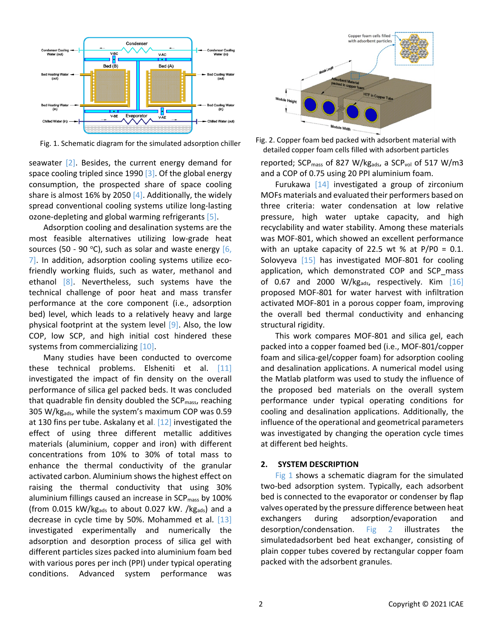

seawater  $[2]$ . Besides, the current energy demand for space cooling tripled since 1990  $\lceil 3 \rceil$ . Of the global energy consumption, the prospected share of space cooling share is almost 16% by 2050  $[4]$ . Additionally, the widely spread conventional cooling systems utilize long-lasting ozone-depleting and global warming refrigerants [5].

Adsorption cooling and desalination systems are the most feasible alternatives utilizing low-grade heat sources (50 - 90 °C), such as solar and waste energy  $[6, 6]$ 7]. In addition, adsorption cooling systems utilize ecofriendly working fluids, such as water, methanol and ethanol [8]. Nevertheless, such systems have the technical challenge of poor heat and mass transfer performance at the core component (i.e., adsorption bed) level, which leads to a relatively heavy and large physical footprint at the system level  $[9]$ . Also, the low COP, low SCP, and high initial cost hindered these systems from commercializing [10].

Many studies have been conducted to overcome these technical problems. Elsheniti et al. [11] investigated the impact of fin density on the overall performance of silica gel packed beds. It was concluded that quadrable fin density doubled the  $\text{SCP}_{\text{mass}}$ , reaching 305 W/kgads, while the system's maximum COP was 0.59 at 130 fins per tube. Askalany et al. [12] investigated the effect of using three different metallic additives materials (aluminium, copper and iron) with different concentrations from 10% to 30% of total mass to enhance the thermal conductivity of the granular activated carbon. Aluminium shows the highest effect on raising the thermal conductivity that using 30% aluminium fillings caused an increase in  $SCP<sub>mass</sub>$  by 100% (from 0.015 kW/kg<sub>ads</sub> to about 0.027 kW. /kg<sub>ads</sub>) and a decrease in cycle time by 50%. Mohammed et al. [13] investigated experimentally and numerically the adsorption and desorption process of silica gel with different particles sizes packed into aluminium foam bed with various pores per inch (PPI) under typical operating conditions. Advanced system performance was



Fig. 1. Schematic diagram for the simulated adsorption chiller Fig. 2. Copper foam bed packed with adsorbent material with detailed copper foam cells filled with adsorbent particles

reported; SCP<sub>mass</sub> of 827 W/kg<sub>ads</sub>, a SCP<sub>vol</sub> of 517 W/m3 and a COP of 0.75 using 20 PPI aluminium foam.

Furukawa [14] investigated a group of zirconium MOFs materials and evaluated their performers based on three criteria: water condensation at low relative pressure, high water uptake capacity, and high recyclability and water stability. Among these materials was MOF-801, which showed an excellent performance with an uptake capacity of 22.5 wt % at  $P/P0 = 0.1$ . Solovyeva [15] has investigated MOF-801 for cooling application, which demonstrated COP and SCP\_mass of 0.67 and 2000 W/kg<sub>ads</sub>, respectively. Kim  $[16]$ proposed MOF-801 for water harvest with infiltration activated MOF-801 in a porous copper foam, improving the overall bed thermal conductivity and enhancing structural rigidity.

This work compares MOF-801 and silica gel, each packed into a copper foamed bed (i.e., MOF-801/copper foam and silica-gel/copper foam) for adsorption cooling and desalination applications. A numerical model using the Matlab platform was used to study the influence of the proposed bed materials on the overall system performance under typical operating conditions for cooling and desalination applications. Additionally, the influence of the operational and geometrical parameters was investigated by changing the operation cycle times at different bed heights.

# **2. SYSTEM DESCRIPTION**

Fig 1 shows a schematic diagram for the simulated two-bed adsorption system. Typically, each adsorbent bed is connected to the evaporator or condenser by flap valves operated by the pressure difference between heat exchangers during adsorption/evaporation and desorption/condensation. Fig 2 illustrates the simulatedadsorbent bed heat exchanger, consisting of plain copper tubes covered by rectangular copper foam packed with the adsorbent granules.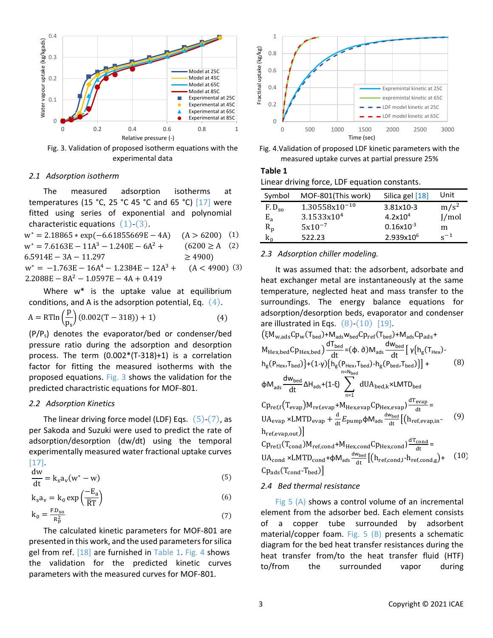

Fig. 3. Validation of proposed isotherm equations with the experimental data

#### *2.1 Adsorption isotherm*

The measured adsorption isotherms at temperatures (15 °C, 25 °C 45 °C and 65 °C) [17] were fitted using series of exponential and polynomial characteristic equations  $(1)-(3)$ .

 $w^* = 2.18865 * exp(-6.61855669E - 4A)$  (A > 6200) (1)  $w^* = 7.6163E - 11A^3 - 1.240E - 6A^2 +$ 6.5914E − 3A − 11.297  $(6200 \geq A$  (2)  $\geq$  4900)  $w^* = -1.763E - 16A^4 - 1.2384E - 12A^3 +$  $2.2088E - 8A^2 - 1.0597E - 4A + 0.419$  $(A < 4900)$  (3)

Where w\* is the uptake value at equilibrium conditions, and A is the adsorption potential, Eq.  $(4)$ .

$$
A = RT \ln \left(\frac{p}{p_s}\right) (0.002(T - 318)) + 1)
$$
 (4)

(P/Ps) denotes the evaporator/bed or condenser/bed pressure ratio during the adsorption and desorption process. The term (0.002\*(T-318)+1) is a correlation factor for fitting the measured isotherms with the proposed equations. Fig. 3 shows the validation for the predicted charactristic equations for MOF-801.

#### *2.2 Adsorption Kinetics*

The linear driving force model (LDF) Eqs.  $(5)-(7)$ , as per Sakoda and Suzuki were used to predict the rate of adsorption/desorption (dw/dt) using the temporal experimentally measured water fractional uptake curves [17].

$$
\frac{dw}{dt} = k_s a_v (w^* - w)
$$
 (5)

$$
k_s a_v = k_0 \exp\left(\frac{-E_a}{\overline{R}T}\right) \tag{6}
$$

$$
k_0 = \frac{F.D_{so}}{R_p^2}
$$
 (7)

The calculated kinetic parameters for MOF-801 are presented in this work, and the used parameters for silica gel from ref. [18] are furnished in Table 1. Fig. 4 shows the validation for the predicted kinetic curves parameters with the measured curves for MOF-801.





# **Table 1** Linear driving force, LDF equation constants.

| Symbol            | MOF-801(This work)     | Silica gel [18]       | Unit             |
|-------------------|------------------------|-----------------------|------------------|
| F.D <sub>so</sub> | $1.30558x10^{-10}$     | 3.81x10-3             | m/s <sup>2</sup> |
| $E_{a}$           | 3.1533x10 <sup>4</sup> | 4.2x10 <sup>4</sup>   | J/mol            |
| $R_p$             | $5x10^{-7}$            | $0.16x10^{-3}$        | m                |
| $k_0$             | 522.23                 | 2.939x10 <sup>6</sup> | $\rm s^{-1}$     |

## *2.3 Adsorption chiller modeling.*

It was assumed that: the adsorbent, adsorbate and heat exchanger metal are instantaneously at the same temperature, neglected heat and mass transfer to the surroundings. The energy balance equations for adsorption/desorption beds, evaporator and condenser are illustrated in Eqs.  $(8)-(10)$  [19].

$$
(\xi M_{w,ads}Cp_{w}(T_{bed})+M_{ads}w_{bed}Cp_{ref}(T_{bed})+M_{ads}Cp_{ads}+M_{Hex,bed}Cp_{Hex,bed})\frac{dT_{bed}}{dt}=(\phi.\partial)M_{ads}\frac{dW_{bed}}{dt}\left[\gamma_{\{h_{g}(T_{Hex})\}}\right]
$$

$$
h_{g}(P_{Hex},T_{bed})\left\{+(1-\gamma)\{h_{g}(P_{Hex},T_{bed})-h_{g}(P_{bed},T_{bed})\}\right\}+(1-\gamma)\{h_{g}(P_{Hex},T_{bed})-h_{g}(P_{bed},T_{bed})\}\right] + (8)
$$

$$
\phi M_{ads}\frac{dW_{bed}}{dt}\Delta H_{ads}+(1-\xi)\sum_{n=1}^{n=N_{bed}}dUA_{bed,k} \times LMTD_{bed}
$$

$$
Cp_{ref,f}(T_{evap})M_{ref,evap}+M_{Hex,evap}Cp_{Hex,evap})\frac{dT_{evap}}{dt}=
$$

$$
UA_{evap} \times LMTD_{evap} + \frac{d}{dt}E_{pump}\phi M_{ads}\frac{dW_{bed}}{dt}\left[(h_{ref,evap,in} - (9) + (1-\gamma_{ref,ed})-M_{ref,cond})\frac{dT_{cond}}{dt}\right]
$$

$$
Cp_{ref,l}(T_{cond})M_{ref,cond}+M_{Hex,cond}Cp_{Hex,cond}\frac{dT_{cond}}{dt}=(1-\gamma_{ref,cond}C)-1-\gamma_{ref,cond}C
$$

$$
Cp_{ads}(T_{cond}-T_{bed})
$$

$$
Cp_{ads}(T_{cond}-T_{bed})
$$

#### *2.4 Bed thermal resistance*

Fig  $5(A)$  shows a control volume of an incremental element from the adsorber bed. Each element consists of a copper tube surrounded by adsorbent material/copper foam. Fig.  $5$  (B) presents a schematic diagram for the bed heat transfer resistances during the heat transfer from/to the heat transfer fluid (HTF) to/from the surrounded vapor during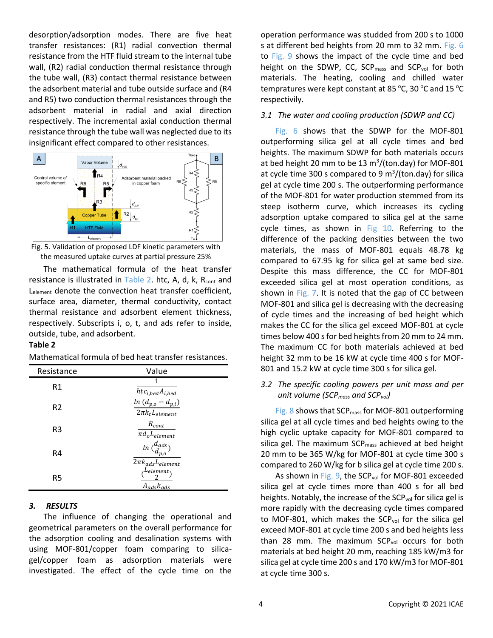desorption/adsorption modes. There are five heat transfer resistances: (R1) radial convection thermal resistance from the HTF fluid stream to the internal tube wall, (R2) radial conduction thermal resistance through the tube wall, (R3) contact thermal resistance between the adsorbent material and tube outside surface and (R4 and R5) two conduction thermal resistances through the adsorbent material in radial and axial direction respectively. The incremental axial conduction thermal resistance through the tube wall was neglected due to its insignificant effect compared to other resistances.





The mathematical formula of the heat transfer resistance is illustrated in Table 2. htc, A, d, k,  $R_{\text{cont}}$  and Lelement denote the convection heat transfer coefficient, surface area, diameter, thermal conductivity, contact thermal resistance and adsorbent element thickness, respectively. Subscripts i, o, t, and ads refer to inside, outside, tube, and adsorbent.

# **Table 2**

Mathematical formula of bed heat transfer resistances.

| Resistance     | Value                                                                  |
|----------------|------------------------------------------------------------------------|
| R1             | 1<br>$htc_{i,bed}A_{i,bed}$                                            |
| R <sub>2</sub> | $ln (d_{p,o} - d_{p,i})$<br>$2\pi k_t L_{element}$                     |
| R3             | $R_{cont}$<br>$\overline{\pi}d_{o}L_{element}$                         |
| R4             | In $\genfrac{(}{)}{}{}{d_{ads}}{d_{p,o}}$<br>$2\pi k_{ads}L_{element}$ |
| R5             | (Lelement)<br>$A_{ads}$ <sub>kads</sub>                                |

# *3. RESULTS*

The influence of changing the operational and geometrical parameters on the overall performance for the adsorption cooling and desalination systems with using MOF-801/copper foam comparing to silicagel/copper foam as adsorption materials were investigated. The effect of the cycle time on the operation performance was studded from 200 s to 1000 s at different bed heights from 20 mm to 32 mm. Fig. 6 to Fig. 9 shows the impact of the cycle time and bed height on the SDWP, CC,  $SCP_{mass}$  and  $SCP_{vol}$  for both materials. The heating, cooling and chilled water tempratures were kept constant at 85 °C, 30 °C and 15 °C respectivily.

## *3.1 The water and cooling production (SDWP and CC)*

Fig. 6 shows that the SDWP for the MOF-801 outperforming silica gel at all cycle times and bed heights. The maximum SDWP for both materials occurs at bed height 20 mm to be 13  $\text{m}^3/\text{(ton day)}$  for MOF-801 at cycle time 300 s compared to 9  $m^3$ /(ton.day) for silica gel at cycle time 200 s. The outperforming performance of the MOF-801 for water production stemmed from its steep isotherm curve, which increases its cycling adsorption uptake compared to silica gel at the same cycle times, as shown in Fig 10. Referring to the difference of the packing densities between the two materials, the mass of MOF-801 equals 48.78 kg compared to 67.95 kg for silica gel at same bed size. Despite this mass difference, the CC for MOF-801 exceeded silica gel at most operation conditions, as shown in Fig. 7. It is noted that the gap of CC between MOF-801 and silica gel is decreasing with the decreasing of cycle times and the increasing of bed height which makes the CC for the silica gel exceed MOF-801 at cycle times below 400 s for bed heights from 20 mm to 24 mm. The maximum CC for both materials achieved at bed height 32 mm to be 16 kW at cycle time 400 s for MOF-801 and 15.2 kW at cycle time 300 s for silica gel.

# *3.2 The specific cooling powers per unit mass and per unit volume (SCPmass and SCPvol)*

Fig. 8 shows that SCP<sub>mass</sub> for MOF-801 outperforming silica gel at all cycle times and bed heights owing to the high cyclic uptake capacity for MOF-801 compared to silica gel. The maximum  $SCP_{mass}$  achieved at bed height 20 mm to be 365 W/kg for MOF-801 at cycle time 300 s compared to 260 W/kg for b silica gel at cycle time 200 s.

As shown in Fig. 9, the SCP<sub>vol</sub> for MOF-801 exceeded silica gel at cycle times more than 400 s for all bed heights. Notably, the increase of the  $\text{SCP}_{\text{vol}}$  for silica gel is more rapidly with the decreasing cycle times compared to MOF-801, which makes the  $SCP<sub>vol</sub>$  for the silica gel exceed MOF-801 at cycle time 200 s and bed heights less than 28 mm. The maximum  $SCP<sub>vol</sub>$  occurs for both materials at bed height 20 mm, reaching 185 kW/m3 for silica gel at cycle time 200 s and 170 kW/m3 for MOF-801 at cycle time 300 s.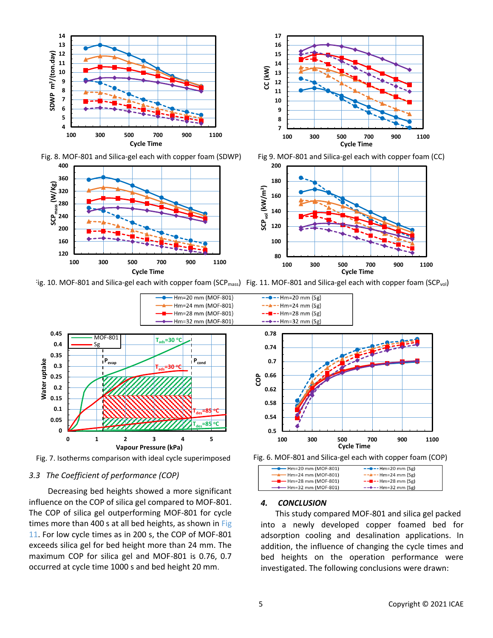

Fig. 8. MOF-801 and Silica-gel each with copper foam (SDWP) Fig 9. MOF-801 and Silica-gel each with copper foam (CC)



**200**





Hm=20 mm (MOF-801)



Fig. 7. Isotherms comparison with ideal cycle superimposed

## *3.3 The Coefficient of performance (COP)*

Decreasing bed heights showed a more significant influence on the COP of silica gel compared to MOF-801. The COP of silica gel outperforming MOF-801 for cycle times more than 400 s at all bed heights, as shown in Fig 11. For low cycle times as in 200 s, the COP of MOF-801 exceeds silica gel for bed height more than 24 mm. The maximum COP for silica gel and MOF-801 is 0.76, 0.7 occurred at cycle time 1000 s and bed height 20 mm.



Fig. 6. MOF-801 and Silica-gel each with copper foam (COP)

| $\leftarrow$ Hm=20 mm (MOF-801)      | $--$ -- Hm=20 mm (Sg)   |  |
|--------------------------------------|-------------------------|--|
| $\longrightarrow$ Hm=24 mm (MOF-801) | $-  - -$ Hm=24 mm (Sg)  |  |
| $\leftarrow$ Hm=28 mm (MOF-801)      | $-$ - $-$ Hm=28 mm (Sg) |  |
| $\longrightarrow$ Hm=32 mm (MOF-801) | $--$ --+ Hm=32 mm (Sg)  |  |
|                                      |                         |  |

# *4. CONCLUSION*

This study compared MOF-801 and silica gel packed into a newly developed copper foamed bed for adsorption cooling and desalination applications. In addition, the influence of changing the cycle times and bed heights on the operation performance were investigated. The following conclusions were drawn: